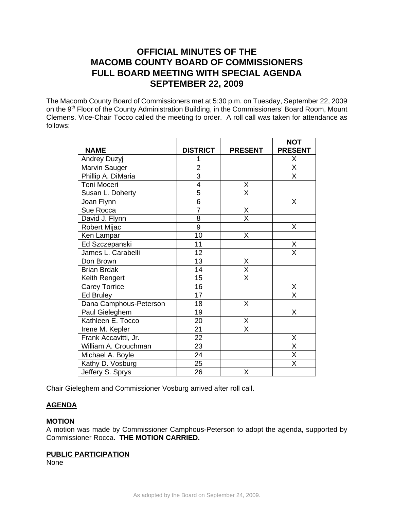# **OFFICIAL MINUTES OF THE MACOMB COUNTY BOARD OF COMMISSIONERS FULL BOARD MEETING WITH SPECIAL AGENDA SEPTEMBER 22, 2009**

The Macomb County Board of Commissioners met at 5:30 p.m. on Tuesday, September 22, 2009 on the 9<sup>th</sup> Floor of the County Administration Building, in the Commissioners' Board Room, Mount Clemens. Vice-Chair Tocco called the meeting to order. A roll call was taken for attendance as follows:

|                        |                 |                         | <b>NOT</b>              |
|------------------------|-----------------|-------------------------|-------------------------|
| <b>NAME</b>            | <b>DISTRICT</b> | <b>PRESENT</b>          | <b>PRESENT</b>          |
| Andrey Duzyj           |                 |                         | Χ                       |
| Marvin Sauger          | $\overline{2}$  |                         | $\overline{\mathsf{x}}$ |
| Phillip A. DiMaria     | $\overline{3}$  |                         | X                       |
| Toni Moceri            | 4               | $\frac{X}{X}$           |                         |
| Susan L. Doherty       | $\overline{5}$  |                         |                         |
| Joan Flynn             | $\overline{6}$  |                         | Χ                       |
| Sue Rocca              | $\overline{7}$  | Χ                       |                         |
| David J. Flynn         | 8               | $\overline{\mathsf{x}}$ |                         |
| Robert Mijac           | 9               |                         | X                       |
| Ken Lampar             | $\overline{10}$ | Χ                       |                         |
| Ed Szczepanski         | 11              |                         | X                       |
| James L. Carabelli     | 12              |                         | X                       |
| Don Brown              | 13              | X                       |                         |
| <b>Brian Brdak</b>     | 14              | $\overline{\mathsf{X}}$ |                         |
| Keith Rengert          | 15              | $\overline{\mathsf{x}}$ |                         |
| <b>Carey Torrice</b>   | 16              |                         | Χ                       |
| <b>Ed Bruley</b>       | 17              |                         | X                       |
| Dana Camphous-Peterson | 18              | X                       |                         |
| Paul Gieleghem         | 19              |                         | Χ                       |
| Kathleen E. Tocco      | 20              | Χ                       |                         |
| Irene M. Kepler        | 21              | $\overline{\mathsf{x}}$ |                         |
| Frank Accavitti, Jr.   | 22              |                         | Χ                       |
| William A. Crouchman   | 23              |                         | $\overline{\mathsf{x}}$ |
| Michael A. Boyle       | 24              |                         | $\overline{\mathsf{X}}$ |
| Kathy D. Vosburg       | 25              |                         | $\overline{\mathsf{x}}$ |
| Jeffery S. Sprys       | 26              | Χ                       |                         |

Chair Gieleghem and Commissioner Vosburg arrived after roll call.

# **AGENDA**

## **MOTION**

A motion was made by Commissioner Camphous-Peterson to adopt the agenda, supported by Commissioner Rocca. **THE MOTION CARRIED.** 

#### **PUBLIC PARTICIPATION**

None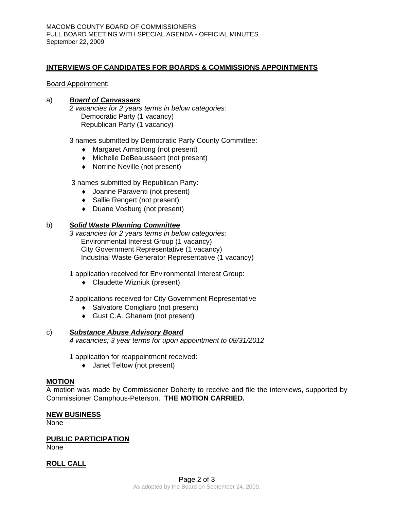## **INTERVIEWS OF CANDIDATES FOR BOARDS & COMMISSIONS APPOINTMENTS**

#### Board Appointment:

#### a)*Board of Canvassers*

*2 vacancies for 2 years terms in below categories:*  Democratic Party (1 vacancy) Republican Party (1 vacancy)

3 names submitted by Democratic Party County Committee:

- ♦ Margaret Armstrong (not present)
- ♦ Michelle DeBeaussaert (not present)
- ♦ Norrine Neville (not present)

3 names submitted by Republican Party:

- ♦ Joanne Paraventi (not present)
- ♦ Sallie Rengert (not present)
- ♦ Duane Vosburg (not present)

## b) *Solid Waste Planning Committee*

*3 vacancies for 2 years terms in below categories:*  Environmental Interest Group (1 vacancy) City Government Representative (1 vacancy) Industrial Waste Generator Representative (1 vacancy)

1 application received for Environmental Interest Group:

♦ Claudette Wizniuk (present)

2 applications received for City Government Representative

- ♦ Salvatore Conigliaro (not present)
- ♦ Gust C.A. Ghanam (not present)

#### c) *Substance Abuse Advisory Board*

*4 vacancies; 3 year terms for upon appointment to 08/31/2012* 

1 application for reappointment received:

♦ Janet Teltow (not present)

#### **MOTION**

A motion was made by Commissioner Doherty to receive and file the interviews, supported by Commissioner Camphous-Peterson. **THE MOTION CARRIED.** 

#### **NEW BUSINESS**

None

## **PUBLIC PARTICIPATION**

None

## **ROLL CALL**